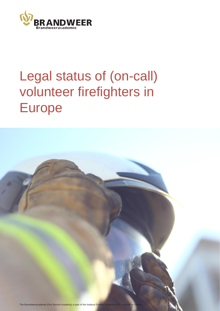

# Legal status of (on-call) volunteer firefighters in Europe

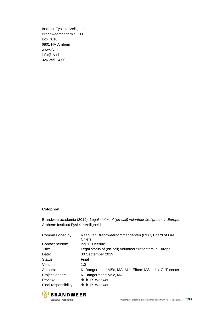Instituut Fysieke Veiligheid Brandweeracademie P.O. Box 7010 6801 HA Arnhem [www.ifv.nl](http://www.ifv.nl/) [info@ifv.nl](mailto:info@ifv.nl) 026 355 24 00

#### **Colophon**

Brandweeracademie (2019). *Legal status of (on-call) volunteer firefighters in Europe.* Arnhem: Instituut Fysieke Veiligheid.

| Commissioned by:      | Raad van Brandweercommandanten (RBC, Board of Fire<br>Chiefs) |
|-----------------------|---------------------------------------------------------------|
| Contact person:       | ing. F. Heerink                                               |
| Title:                | Legal status of (on-call) volunteer firefighters in Europe    |
| Date:                 | 30 September 2019                                             |
| Status:               | Final                                                         |
| Version:              | 1.0                                                           |
| Authors:              | K. Dangermond MSc, MA; M.J. Elbers MSc, drs. C. Tonnaer       |
| Project leader:       | K. Dangermond MSc, MA                                         |
| Review:               | dr. ir. R. Weewer                                             |
| Final responsibility: | dr. ir. R. Weewer                                             |

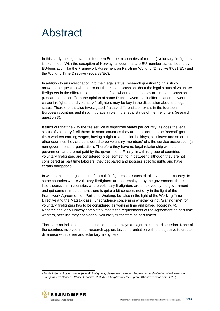## <span id="page-2-0"></span>Abstract

In this study the legal status in fourteen European countries of (on-call) voluntary firefighters is examined.1 With the exception of Norway, all countries are EU member states, bound by EU-legislation like the Framework Agreement on Part-time Working (Directive 97/81/EC) and the Working Time Directive (2003/88/EC).

In addition to an investigation into their legal status (research question 1), this study answers the question whether or not there is a discussion about the legal status of voluntary firefighters in the different countries and, if so, what the main topics are in that discussion (research question 2). In the opinion of some Dutch lawyers, task differentiation between career firefighters and voluntary firefighters may be key in the discussion about the legal status. Therefore it is also investigated if a task differentiation exists in the fourteen European countries and if so, if it plays a role in the legal status of the firefighters (research question 3).

It turns out that the way the fire service is organized varies per country, as does the legal status of voluntary firefighters. In some countries they are considered to be 'normal' (part time) workers earning wages, having a right to a pension holidays, sick leave and so on. In other countries they are considered to be voluntary 'members' of a fire service association (a non-governmental organization). Therefore they have no legal relationship with the government and are not paid by the government. Finally, in a third group of countries voluntary firefighters are considered to be 'something in between': although they are not considered as part time laborers, they get payed and possess specific rights and have certain obligations.

In what sense the legal status of on-call firefighters is discussed, also varies per country. In some countries where voluntary firefighters are not employed by the government, there is little discussion. In countries where voluntary firefighters are employed by the government and get some reimbursement there is quite a bit concern, not only in the light of the Framework Agreement on Part-time Working, but also in the light of the Working Time Directive and the Matzak-case (jurisprudence concerning whether or not "waiting time" for voluntary firefighters has to be considered as working time and payed accordingly). Nonetheless, only Norway completely meets the requirements of the Agreement on part time workers, because they consider all voluntary firefighters as part timers.

There are no indications that task differentiation plays a major role in the discussion. None of the countries involved in our research applies task differentiation with the objective to create difference with career and voluntary firefighters.

<sup>1</sup>For definitions of categories of (on-call) firefighters, please see the report *Recruitment and retention of volunteers in European Fire Services. Phase 1: document study and exploratory focus group (Brandweeracademie, 2019).* 

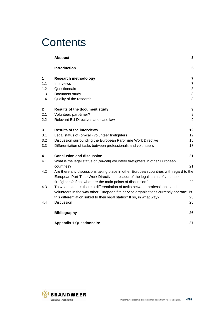## **Contents**

|         | <b>Abstract</b>                                                                                                                                                        | 3              |  |  |  |  |
|---------|------------------------------------------------------------------------------------------------------------------------------------------------------------------------|----------------|--|--|--|--|
|         | <b>Introduction</b>                                                                                                                                                    | 5              |  |  |  |  |
| 1       | <b>Research methodology</b>                                                                                                                                            | 7              |  |  |  |  |
| 1.1     | Interviews                                                                                                                                                             | $\overline{7}$ |  |  |  |  |
| 1.2     | Questionnaire                                                                                                                                                          | 8              |  |  |  |  |
| 1.3     | Document study                                                                                                                                                         | 8              |  |  |  |  |
| 1.4     | Quality of the research                                                                                                                                                | 8              |  |  |  |  |
| 2       | <b>Results of the document study</b>                                                                                                                                   | 9              |  |  |  |  |
| 2.1     | Volunteer, part-timer?                                                                                                                                                 | 9              |  |  |  |  |
| $2.2\,$ | Relevant EU Directives and case law                                                                                                                                    | 9              |  |  |  |  |
| 3       | <b>Results of the interviews</b>                                                                                                                                       | 12             |  |  |  |  |
| 3.1     | Legal status of (on-call) volunteer firefighters                                                                                                                       | 12             |  |  |  |  |
| 3.2     | Discussion surrounding the European Part-Time Work Directive                                                                                                           | 15             |  |  |  |  |
| 3.3     | Differentiation of tasks between professionals and volunteers                                                                                                          | 18             |  |  |  |  |
| 4       | <b>Conclusion and discussion</b>                                                                                                                                       | 21             |  |  |  |  |
| 4.1     | What is the legal status of (on-call) volunteer firefighters in other European<br>countries?                                                                           | 21             |  |  |  |  |
| 4.2     | Are there any discussions taking place in other European countries with regard to the<br>European Part-Time Work Directive in respect of the legal status of volunteer |                |  |  |  |  |
|         | firefighters? If so, what are the main points of discussion?                                                                                                           | 22             |  |  |  |  |
| 4.3     | To what extent is there a differentiation of tasks between professionals and                                                                                           |                |  |  |  |  |
|         | volunteers in the way other European fire service organisations currently operate? Is                                                                                  |                |  |  |  |  |
|         | this differentiation linked to their legal status? If so, in what way?                                                                                                 | 23             |  |  |  |  |
| 4.4     | Discussion                                                                                                                                                             | 25             |  |  |  |  |
|         | <b>Bibliography</b>                                                                                                                                                    | 26             |  |  |  |  |
|         | <b>Appendix 1 Questionnaire</b>                                                                                                                                        | 27             |  |  |  |  |

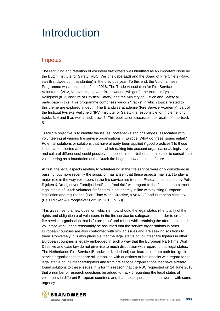## <span id="page-4-0"></span>Introduction

### Impetus

The recruiting and retention of volunteer firefighters was identified as an important issue by the Dutch Institute for Safety (RBC, Veiligheidsberaad) and the Board of Fire Chiefs (Raad van Brandweercommandanten) in the previous year. To this end, the Voluntariness Programme was launched in June 2018. The Trade Association for Fire Service Volunteers (VBV, Vakvereniging voor Brandweervrijwilligers), the Instituut Fysieke Veiligheid (IFV, Institute of Physical Safety) and the Ministry of Justice and Safety all participate in this. This programme comprises various "tracks" in which topics related to this theme are explored in depth. The Brandweeracademie (Fire Service Academy), part of the Instituut Fysieke Veiligheid (IFV, Institute for Safety), is responsible for implementing tracks 3, 4 and 5 as well as sub-track 5. This publication discusses the results of sub-track 5.

Track 5's objective is to identify the issues (bottlenecks and challenges) associated with volunteering at various fire service organisations in Europe. What do these issues entail? Potential solutions or solutions that have already been applied ("good practices") to these issues are collected at the same time, which (taking into account organisational, legislative and cultural differences) could possibly be applied in the Netherlands in order to consolidate volunteering as a foundation of the Dutch fire brigade now and in the future.

At first, the legal aspects relating to volunteering in the fire service were only considered in passing, but more recently the suspicion has arisen that these aspects may start to play a major role in the way volunteers in the fire service are treated. Research conducted by Pels Rijcken & Droogleever Fortuijn identifies a "real risk" with regard to the fact that the current legal status of Dutch volunteer firefighters is not entirely in line with existing European legislation and regulations (Part-Time Work Directive, 97/81/EC) and European case law (Pels Rijcken & Droogleever Fortuijn, 2018, p. 53).

This gives rise to a new question, which is: how should the legal status (the totality of the rights and obligations) of volunteers in the fire service be safeguarded in order to create a fire service organisation that is future-proof and robust while retaining the aforementioned voluntary work. It can reasonably be assumed that fire service organisations in other European countries are also confronted with similar issues and are seeking solutions to them. Conversely, it is also plausible that the legal status of volunteer fire fighters in other European countries is legally embedded in such a way that the European Part-Time Work Directive and case law do not give rise to much discussion with regard to this legal status. The Netherlands Fire Service (Brandweer Nederland) can learn a lot from both foreign fire service organisations that are still grappling with questions or bottlenecks with regard to the legal status of volunteer firefighters and from fire service organisations that have already found solutions to these issues. It is for this reason that the RBC requested on 14 June 2018 that a number of research questions be added to track 5 regarding the legal status of volunteers in different European countries and that these questions be answered with some urgency.

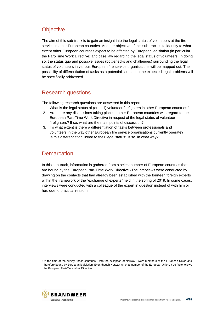## **Objective**

The aim of this sub-track is to gain an insight into the legal status of volunteers at the fire service in other European countries. Another objective of this sub-track is to identify to what extent other European countries expect to be affected by European legislation (in particular the Part-Time Work Directive) and case law regarding the legal status of volunteers. In doing so, the status quo and possible issues (bottlenecks and challenges) surrounding the legal status of volunteers in various European fire service organisations will be mapped out. The possibility of differentiation of tasks as a potential solution to the expected legal problems will be specifically addressed.

## Research questions

The following research questions are answered in this report:

- 1. What is the legal status of (on-call) volunteer firefighters in other European countries?
- 2. Are there any discussions taking place in other European countries with regard to the European Part-Time Work Directive in respect of the legal status of volunteer firefighters? If so, what are the main points of discussion?
- 3. To what extent is there a differentiation of tasks between professionals and volunteers in the way other European fire service organisations currently operate? Is this differentiation linked to their legal status? If so, in what way?

## **Demarcation**

In this sub-track, information is gathered from a select number of European countries that are bound by the European Part-Time Work Directive.2 The interviews were conducted by drawing on the contacts that had already been established with the fourteen foreign experts within the framework of the "exchange of experts" held in the spring of 2019. In some cases, interviews were conducted with a colleague of the expert in question instead of with him or her, due to practical reasons.



<sup>2</sup>At the time of the survey, these countries - with the exception of Norway - were members of the European Union and therefore bound by European legislation. Even though Norway is not a member of the European Union, it de facto follows the European Part-Time Work Directive.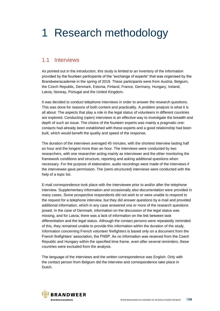## <span id="page-6-0"></span>1 Research methodology

### <span id="page-6-1"></span>1.1 Interviews

As pointed out in the introduction, this study is limited to an inventory of the information provided by the fourteen participants of the "exchange of experts" that was organised by the Brandweeracademie in the spring of 2019. These participants were from Austria, Belgium, the Czech Republic, Denmark, Estonia, Finland, France, Germany, Hungary, Ireland, Latvia, Norway, Portugal and the United Kingdom.

It was decided to conduct telephone interviews in order to answer the research questions. This was done for reasons of both content and practicality. A *problem analysis* is what it is all about. The aspects that play a role in the legal status of volunteers in different countries are explored. Conducting (open) interviews is an effective way to investigate the breadth and depth of such an issue. The choice of the fourteen experts was mainly a pragmatic one: contacts had already been established with these experts and a good relationship had been built, which would benefit the quality and speed of the response.

The duration of the interviews averaged 45 minutes, with the shortest interview lasting half an hour and the longest more than an hour. The interviews were conducted by two researchers, with one researcher acting mainly as interviewer and the other monitoring the framework conditions and structure, reporting and asking additional questions when necessary. For the purpose of elaboration, audio recordings were made of the interviews if the interviewee gave permission. The (semi-structured) interviews were conducted with the help of a topic list.

E-mail correspondence took place with the interviewee prior to and/or after the telephone interview. Supplementary information and occasionally also documentation were provided in many cases. Some prospective respondents did not wish to or were unable to respond to the request for a telephone interview, but they did answer questions by e-mail and provided additional information, which in any case answered one or more of the research questions posed. In the case of Denmark, information on the discussion of the legal status was missing, and for Latvia, there was a lack of information on the link between task differentiation and the legal status. Although the contact persons were repeatedly reminded of this, they remained unable to provide this information within the duration of the study. Information concerning French volunteer firefighters is based only on a document from the French firefighters' association, the FNSP. As no information was received from the Czech Republic and Hungary within the specified time frame, even after several reminders, these countries were excluded from the analysis.

The language of the interviews and the written correspondence was English. Only with the contact person from Belgium did the interview and correspondence take place in Dutch.

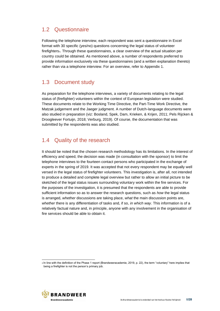## <span id="page-7-0"></span>1.2 Questionnaire

Following the telephone interview, each respondent was sent a questionnaire in Excel format with 30 specific (yes/no) questions concerning the legal status of volunteer firefighters<sub>3</sub>. Through these questionnaires, a clear overview of the actual situation per country could be obtained. As mentioned above, a number of respondents preferred to provide information exclusively via these questionnaires (and a written explanation thereto) rather than via a telephone interview. For an overview, refer to Appendix 1.

## <span id="page-7-1"></span>1.3 Document study

As preparation for the telephone interviews, a variety of documents relating to the legal status of (firefighter) volunteers within the context of European legislation were studied. These documents relate to the Working Time Directive, the Part-Time Work Directive, the Matzak judgement and the Jaeger judgment. A number of Dutch-language documents were also studied in preparation (viz: Bosland, Spek, Dam, Krieken, & Krijen, 2011; Pels Rijcken & Droogleever Fortuijn, 2018; Verburg, 2019). Of course, the documentation that was submitted by the respondents was also studied.

## <span id="page-7-2"></span>1.4 Quality of the research

It should be noted that the chosen research methodology has its limitations. In the interest of efficiency and speed, the decision was made (in consultation with the sponsor) to limit the telephone interviews to the fourteen contact persons who participated in the exchange of experts in the spring of 2019. It was accepted that not every respondent may be equally well versed in the legal status of firefighter volunteers. This investigation is, after all, not intended to produce a detailed and complete legal overview but rather to allow an initial picture to be sketched of the legal status issues surrounding voluntary work within the fire services. For the purposes of the investigation, it is presumed that the respondents are able to provide sufficient information so as to answer the research questions, such as *how* the legal status is arranged, *whether* discussions are taking place, *what* the main discussion points are, *whether* there is any differentiation of tasks and, if so, *in which way*. This information is of a relatively factual nature and, in principle, anyone with any involvement in the organisation of fire services should be able to obtain it.



<sup>3</sup>In line with the definition of the Phase 1 report (Brandweeracademie, 2019, p. 22), the term "voluntary" here implies that being a firefighter is not the person's primary job.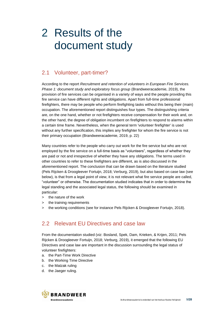## <span id="page-8-0"></span>2 Results of the document study

## <span id="page-8-1"></span>2.1 Volunteer, part-timer?

According to the report *Recruitment and retention of volunteers in European Fire Services. Phase 1: document study and exploratory focus group* (Brandweeracademie, 2019), the provision of fire services can be organised in a variety of ways and the people providing this fire service can have different rights and obligations. Apart from full-time professional firefighters, there may be people who perform firefighting tasks without this being their (main) occupation. The aforementioned report distinguishes four types. The distinguishing criteria are, on the one hand, whether or not firefighters receive compensation for their work and, on the other hand, the degree of obligation incumbent on firefighters to respond to alarms within a certain time frame. Nevertheless, when the general term 'volunteer firefighter' is used without any further specification, this implies any firefighter for whom the fire service is not their primary occupation (Brandweeracademie, 2019, p. 22)

Many countries refer to the people who carry out work for the fire service but who are not employed by the fire service on a full-time basis as "volunteers", regardless of whether they are paid or not and irrespective of whether they have any obligations. The terms used in other countries to refer to these firefighters are different, as is also discussed in the aforementioned report. The conclusion that can be drawn based on the literature studied (Pels Rijcken & Droogleever Fortuijn, 2018; Verburg, 2019), but also based on case law (see below), is that from a legal point of view, it is not relevant what fire service people are called, "volunteer" or otherwise. The documentation studied indicates that in order to determine the legal standing and the associated legal status, the following should be examined in particular:

- > the nature of the work
- the training requirements
- > the working conditions (see for instance Pels Rijcken & Droogleever Fortuijn, 2018).

## <span id="page-8-2"></span>2.2 Relevant EU Directives and case law

From the documentation studied (viz: Bosland, Spek, Dam, Krieken, & Krijen, 2011; Pels Rijcken & Droogleever Fortuijn, 2018; Verburg, 2019), it emerged that the following EU Directives and case law are important in the discussion surrounding the legal status of volunteer firefighters:

- a. the Part-Time Work Directive
- b. the Working Time Directive
- c. the Matzak ruling
- d. the Jaeger ruling.

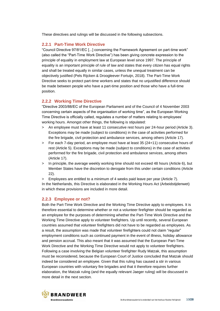These directives and rulings will be discussed in the following subsections.

#### **2.2.1 Part-Time Work Directive**

"Council Directive 97/81/EC [...] concerning the Framework Agreement on part-time work" (also called the "Part-Time Work Directive") has been giving concrete expression to the principle of equality in employment law at European level since 1997. The principle of equality is an important principle of rule of law and states that every citizen has equal rights and shall be treated equally in similar cases, unless the unequal treatment can be objectively justified (Pels Rijcken & Droogleever Fortuijn, 2018). The Part-Time Work Directive seeks to protect part-time workers and states that no unjustified difference should be made between people who have a part-time position and those who have a full-time position.

#### **2.2.2 Working Time Directive**

"Directive 2003/88/EC of the European Parliament and of the Council of 4 November 2003 concerning certain aspects of the organisation of working time", as the European Working Time Directive is officially called, regulates a number of matters relating to employees' working hours. Amongst other things, the following is stipulated:

- > An employee must have at least 11 consecutive rest hours per 24-hour period (Article 3). Exceptions may be made (subject to conditions) in the case of activities performed for the fire brigade, civil protection and ambulance services, among others (Article 17).
- > For each 7-day period, an employee must have at least 35 (24+11) consecutive hours of rest (Article 5). Exceptions may be made (subject to conditions) in the case of activities performed for the fire brigade, civil protection and ambulance services, among others (Article 17).
- > In principle, the average weekly working time should not exceed 48 hours (Article 6), but Member States have the discretion to derogate from this under certain conditions (Article 22).
- > Employees are entitled to a minimum of 4 weeks paid leave per year (Article 7).

In the Netherlands, this Directive is elaborated in the Working Hours Act (Arbeidstijdenwet) in which these provisions are included in more detail.

#### **2.2.3 Employee or not?**

Both the Part-Time Work Directive and the Working Time Directive apply to employees. It is therefore essential to determine whether or not a volunteer firefighter should be regarded as an employee for the purposes of determining whether the Part-Time Work Directive and the Working Time Directive apply to volunteer firefighters. Up until recently, several European countries assumed that volunteer firefighters did not have to be regarded as employees. As a result, the assumption was made that volunteer firefighters could not claim "regular" employment conditions such as continued payment in the event of illness, holiday allowance and pension accrual. This also meant that it was assumed that the European Part-Time Work Directive and the Working Time Directive would not apply to volunteer firefighters. Following a case involving the Belgian volunteer firefighter Rudy Matzak, this assumption must be reconsidered, because the European Court of Justice concluded that Matzak should indeed be considered an employee. Given that this ruling has caused a stir in various European countries with voluntary fire brigades and that it therefore requires further elaboration, the Matzak ruling (and the equally relevant Jaeger ruling) will be discussed in more detail in the next section.

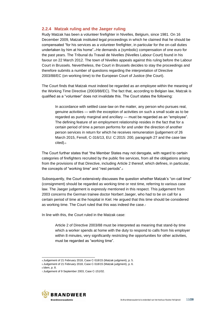#### **2.2.4 Matzak ruling and the Jaeger ruling**

Rudy Matzak has been a volunteer firefighter in Nivelles, Belgium, since 1981. On 16 December 2009, Matzak instituted legal proceedings in which he claimed that he should be compensated "for his services as a volunteer firefighter, in particular for the on-call duties undertaken by him at his home".4 He demands a (symbolic) compensation of one euro for the past years. The Tribunal du Travail de Nivelles (Nivelles Labour Court) found in his favour on 22 March 2012. The town of Nivelles appeals against this ruling before the Labour Court in Brussels. Nevertheless, the Court in Brussels decides to stay the proceedings and therefore submits a number of questions regarding the interpretation of Directive 2003/88/EC (on working time) to the European Court of Justice (the Court).

The Court finds that Matzak must indeed be regarded as an employee within the meaning of the Working Time Directive (2003/88/EC). The fact that, according to Belgian law, Matzak is qualified as a "volunteer" does not invalidate this. The Court states the following:

In accordance with settled case-law on the matter, any person who pursues real, genuine activities — with the exception of activities on such a small scale as to be regarded as purely marginal and ancillary — must be regarded as an "employee". The defining feature of an employment relationship resides in the fact that for a certain period of time a person performs for and under the direction of another person services in return for which he receives remuneration (judgement of 26 March 2015, Fenoll, C-316/13, EU: C:2015: 200, paragraph 27 and the case law cited).<sub>5</sub>

The Court further states that "the Member States may not derogate, with regard to certain categories of firefighters recruited by the public fire services, from all the obligations arising from the provisions of that Directive, including Article 2 thereof, which defines, in particular, the concepts of "working time" and "rest periods".<sup>6</sup>

Subsequently, the Court extensively discusses the question whether Matzak's "on-call time" (consignment) should be regarded as working time or rest time, referring to various case law. The Jaeger judgement is expressly mentioned in this respect. This judgement from 2003 concerns the German trainee doctor Norbert Jaeger, who had to be on call for a certain period of time at the hospital in Kiel. He argued that this time should be considered as working time. The Court ruled that this was indeed the case.<sup>7</sup>

In line with this, the Court ruled in the Matzak case:

Article 2 of Directive 2003/88 must be interpreted as meaning that stand-by time which a worker spends at home with the duty to respond to calls from his employer within 8 minutes, very significantly restricting the opportunities for other activities, must be regarded as "working time".

<sup>7</sup> Judgement of 9 September 2003, Case C-151/02.



<sup>4</sup>Judgement of 21 February 2018, Case C-518/15 (Matzak judgment), p. 5.

<sup>5</sup>Judgement of 21 February 2018, Case C-518/15 (Matzak judgment), p. 6.

<sup>6</sup>Idem, p. 8.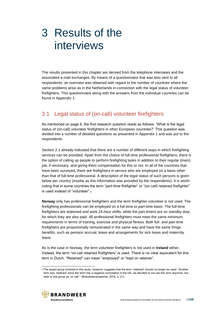## <span id="page-11-0"></span>3 Results of the interviews

The results presented in this chapter are derived from the telephone interviews and the associated e-mail exchanges. By means of a questionnaire that was also sent to all respondents, an overview was obtained with regard to the number of countries where the same problems arise as in the Netherlands in connection with the legal status of volunteer firefighters. This questionnaire along with the answers from the individual countries can be found in Appendix 1.

## <span id="page-11-1"></span>3.1 Legal status of (on-call) volunteer firefighters

As mentioned on page 6, the first research question reads as follows: "What is the legal status of (on-call) volunteer firefighters in other European countries?" This question was divided into a number of detailed questions as presented in Appendix 1 and was put to the respondents.

Section 2.1 already indicated that there are a number of different ways in which firefighting services can be provided. Apart from the choice of full-time professional firefighters, there is the option of calling up people to perform firefighting tasks in addition to their regular (main) job, if necessary, and giving them compensation for this or not. In all of the countries that have been surveyed, there are firefighters in service who are employed on a basis other than that of full-time professional. A description of the legal status of such persons is given below per country (insofar as this information was provided by the respondents). It is worth noting that in some countries the term "part-time firefighter" or "(on call) retained firefighter" is used instead of "volunteer".<sup>8</sup>

**Norway** only has professional firefighters and the term firefighter volunteer is not used. The firefighting professionals can be employed on a full-time or part-time basis. The full-time firefighters are stationed and work 24-hour shifts, while the part-timers are on standby duty, for which they are also paid. All professional firefighters must meet the same minimum requirements in terms of training, exercise and physical fitness. Both full- and part-time firefighters are proportionally remunerated in the same way and have the same fringe benefits, such as pension accrual, leave and arrangements for sick leave and maternity leave.

As is the case in Norway, the term volunteer firefighters is not used in **Ireland** either. Instead, the term "on-call retained firefighters" is used. There is no clear equivalent for this term in Dutch. "Retained" can mean "employed" or "kept on retainer".

<sup>8</sup>The expert group involved in this study, however, suggests that the term "retained" should no longer be used: "Another term was 'retained' since this term has a negative connotation in the UK, we decided to not use this term anymore, but refer to this group as 'on call'." (Brandweeracademie, 2019, p. 21).

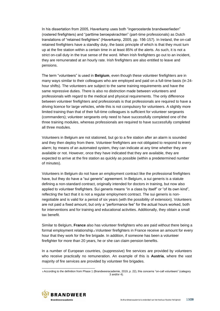In his dissertation from 2005, Haverkamp uses both "ingeroosterde brandweerlieden" (rostered firefighters) and "parttime beroepskrachten" (part-time professionals) as Dutch translations of "retained firefighters" (Haverkamp, 2005, pp. 156-157). In Ireland, the on-call retained firefighters have a standby duty, the basic principle of which is that they must turn up at the fire station within a certain time in at least 85% of the alerts. As such, it is not a strict on-call duty in the true sense of the word. When Irish firefighters go out to an incident, they are remunerated at an hourly rate. Irish firefighters are also entitled to leave and pensions.

The term "volunteers" is used in **Belgium**, even though these volunteer firefighters are in many ways similar to their colleagues who are employed and paid on a full-time basis (in 24 hour shifts). The volunteers are subject to the same training requirements and have the same repressive duties. There is also no distinction made between volunteers and professionals with regard to the medical and physical requirements. The only difference between volunteer firefighters and professionals is that professionals are required to have a driving licence for large vehicles, while this is not compulsory for volunteers. A slightly more limited training than that of their full-time colleagues is sufficient for volunteer sergeants (commanders); volunteer sergeants only need to have successfully completed one of the three training modules, whereas professionals are required to have successfully completed all three modules.

Volunteers in Belgium are not stationed, but go to a fire station after an alarm is sounded and they then deploy from there. Volunteer firefighters are not obligated to respond to every alarm; by means of an automated system, they can indicate at any time whether they are available or not. However, once they have indicated that they are available, they are expected to arrive at the fire station as quickly as possible (within a predetermined number of minutes).

Volunteers in Belgium do not have an employment contract like the professional firefighters have, but they do have a "sui generis" agreement. In Belgium, a sui generis is a statute defining a non-standard contract, originally intended for doctors in training, but now also applied to volunteer firefighters. Sui generis means "in a class by itself" or "of its own kind", reflecting the fact that it is not a regular employment contract. The sui generis is nonnegotiable and is valid for a period of six years (with the possibility of extension). Volunteers are not paid a fixed amount, but only a "performance fee" for the actual hours worked, both for interventions and for training and educational activities. Additionally, they obtain a small tax benefit.

Similar to Belgium, **France** also has volunteer firefighters who are paid without there being a formal employment relationship.9 Volunteer firefighters in France receive an amount for every hour that they work for the fire brigade. In addition, if someone has been a volunteer firefighter for more than 20 years, he or she can claim pension benefits.

In a number of European countries, (suppressive) fire services are provided by volunteers who receive practically no remuneration. An example of this is **Austria**, where the vast majority of fire services are provided by volunteer fire brigades.

<sup>9</sup>According to the definition from Phase 1 (Brandweeracademie, 2019, p. 22), this concerns "on-call volunteers" (category 3 and/or 4).

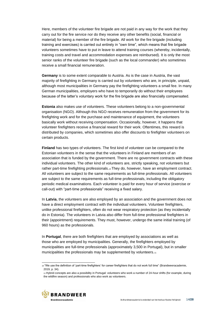Here, members of the volunteer fire brigade are not paid in any way for the work that they carry out for the fire service nor do they receive any other benefits (social, financial or material) for being a member of the fire brigade. All work for the fire brigade (including training and exercises) is carried out entirely in "own time", which means that fire brigade volunteers sometimes have to put in leave to attend training courses (whereby, incidentally, training costs and travel and accommodation expenses are reimbursed). It is only the most senior ranks of the volunteer fire brigade (such as the local commander) who sometimes receive a small financial remuneration.

**Germany** is to some extent comparable to Austria. As is the case in Austria, the vast majority of firefighting in Germany is carried out by volunteers who are, in principle, unpaid, although most municipalities in Germany pay the firefighting volunteers a small fee. In many German municipalities, employers who have to temporarily do without their employees because of the latter's voluntary work for the fire brigade are also financially compensated.

**Estonia** also makes use of volunteers. These volunteers belong to a non-governmental organisation (NGO). Although this NGO receives remuneration from the government for its firefighting work and for the purchase and maintenance of equipment, the volunteers basically work without receiving compensation. Occasionally, however, it happens that volunteer firefighters receive a financial reward for their work. Oftentimes, this reward is distributed by companies, which sometimes also offer discounts to firefighter volunteers on certain products.

**Finland** has two types of volunteers. The first kind of volunteer can be compared to the Estonian volunteers in the sense that the volunteers in Finland are members of an association that is funded by the government. There are no government contracts with these individual volunteers. The other kind of volunteers are, strictly speaking, not volunteers but rather part-time firefighting professionals.<sub>10</sub> They do, however, have an employment contract. All volunteers are subject to the same requirements as full-time professionals. All volunteers are subject to the same requirements as full-time professionals, including the obligatory periodic medical examinations. Each volunteer is paid for every hour of service (exercise or call-out) with "part-time professionals" receiving a fixed salary.

In **Latvia**, the volunteers are also employed by an association and the government does not have a direct employment contract with the individual volunteers. Volunteer firefighters, unlike professional firefighters, often do not wear respiratory protection (as they incidentally do in Estonia). The volunteers in Latvia also differ from full-time professional firefighters in their (appointment) requirements. They must, however, undergo the same initial training (of 960 hours) as the professionals.

In **Portugal**, there are both firefighters that are employed by associations as well as those who are employed by municipalities. Generally, the firefighters employed by municipalities are full-time professionals (approximately 3,500 in Portugal), but in smaller municipalities the professionals may be supplemented by volunteers.11

<sup>11</sup>Hybrid concepts are also a possibility in Portugal: volunteers who work a number of 24-hour shifts (for example, during the wildfire season) and professionals who also work as volunteers.



<sup>10 &</sup>quot;We use the definition of 'part-time firefighters' for career firefighters that do not work full time" (Brandweeracademie, 2019, p. 34).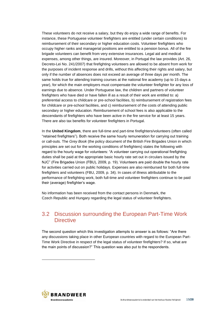These volunteers do not receive a salary, but they do enjoy a wide range of benefits. For instance, these Portuguese volunteer firefighters are entitled (under certain conditions) to reimbursement of their secondary or higher education costs. Volunteer firefighters who occupy higher ranks and managerial positions are entitled to a pension bonus. All of the fire brigade volunteers can benefit from very extensive insurances. Legal aid and medical expenses, among other things, are insured. Moreover, in Portugal the law provides (Art. 26, Decreto-Lei No. 241/2007) that firefighting volunteers are allowed to be absent from work for the purposes of incident response and drills, without this affecting their rights and salary, but only if the number of absences does not exceed an average of three days per month. The same holds true for attending training courses at the national fire academy (up to 15 days a year), for which the main employers must compensate the volunteer firefighter for any loss of earnings due to absence. Under Portuguese law, the children and partners of volunteer firefighters who have died or have fallen ill as a result of their work are entitled to: a) preferential access to childcare or pre-school facilities, b) reimbursement of registration fees for childcare or pre-school facilities, and c) reimbursement of the costs of attending public secondary or higher education. Reimbursement of school fees is also applicable to the descendants of firefighters who have been active in the fire service for at least 15 years. There are also tax benefits for volunteer firefighters in Portugal.

In the **United Kingdom**, there are full-time and part-time firefighters/volunteers (often called "retained firefighters"). Both receive the same hourly remuneration for carrying out training or call-outs. The *Grey Book* (the policy document of the British Fire Brigades Union in which principles are set out for the working conditions of firefighters) states the following with regard to the hourly wage for volunteers: "A volunteer carrying out operational firefighting duties shall be paid at the appropriate basic hourly rate set out in circulars issued by the NJC" (Fire Brigades Union (FBU), 2009, p. 19). Volunteers are paid double the hourly rate for activities carried out on public holidays. Expenses are also reimbursed for both full-time firefighters and volunteers (FBU, 2009, p. 34). In cases of illness attributable to the performance of firefighting work, both full-time and volunteer firefighters continue to be paid their (average) firefighter's wage.

No information has been received from the contact persons in Denmark, the Czech Republic and Hungary regarding the legal status of volunteer firefighters.

### <span id="page-14-0"></span>3.2 Discussion surrounding the European Part-Time Work **Directive**

The second question which this investigation attempts to answer is as follows: "Are there any discussions taking place in other European countries with regard to the European Part-Time Work Directive in respect of the legal status of volunteer firefighters? If so, what are the main points of discussion?" This question was also put to the respondents.

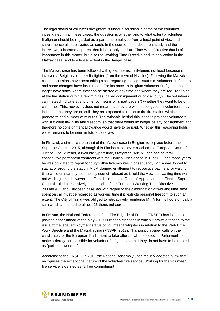The legal status of volunteer firefighters is under discussion in some of the countries investigated. In all these cases, the question is whether and to what extent a volunteer firefighter should be regarded as a part-time employee from a legal point of view and should hence also be treated as such. In the course of the document study and the interviews, it became apparent that it is not only the Part-Time Work Directive that is of importance in this matter, but also the Working Time Directive and its application in the Matzak case (and to a lesser extent in the Jaeger case).

The Matzak case has been followed with great interest in Belgium, not least because it involved a Belgian volunteer firefighter (from the town of Nivelles). Following the Matzak case, discussions have been taking place regarding the legal status of volunteer firefighters and some changes have been made. For instance, in Belgium volunteer firefighters no longer have shifts where they can be alerted at any time and where they are required to be at the fire station within a few minutes (called consignment or on-call duty). The volunteers can instead indicate at any time (by means of "smart pagers") whether they want to be on call or not. This, however, does not mean that they are without obligation; if volunteers have indicated that they are on call, they are expected to report to the fire station within a predetermined number of minutes. The rationale behind this is that it provides volunteers with sufficient flexibility and freedom, so that there would no longer be any consignment and therefore no consignment allowance would have to be paid. Whether this reasoning holds water remains to be seen in future case law.

In **Finland**, a similar case to that of the Matzak case in Belgium took place before the Supreme Court in 2015, although this Finnish case never reached the European Court of Justice. For 12 years, a (voluntary/part-time) firefighter ("Mr. A") had had several consecutive permanent contracts with the Finnish Fire Service in Turku. During those years he was obligated to report for duty within five minutes. Consequently, Mr. A was forced to stay at or around the station. Mr. A claimed entitlement to retroactive payment for waiting time while on standby, but the city council refused as it held the view that waiting time was not working time. However, the Finnish courts, the Court of Appeal and the Finnish Supreme Court all ruled successively that, in light of the European Working Time Directive 2003/88/EC and European case law with regard to the classification of working time, time spent on call must be regarded as working time if it restricts personal freedom to such an extent. The City of Turku was obliged to retroactively reimburse Mr. A for his hours on call, a sum which amounted to almost 25 thousand euros.

In **France**, the National Federation of the Fire Brigade of France (FNSPF) has issued a position paper ahead of the May 2019 European elections in which it draws attention to the issue of the legal employment status of volunteer firefighters in relation to the Part-Time Work Directive and the Matzak ruling (FNSPF, 2019). This position paper calls on the candidates for the European Parliament to take efforts - when elected to Parliament - to make a derogation possible for volunteer firefighters so that they do not have to be treated as "part-time workers".

According to the FNSPF, in 2011 the National Assembly unanimously adopted a law that recognises the exceptional nature of the volunteer fire service. Working for the volunteer fire service is defined as "a free commitment

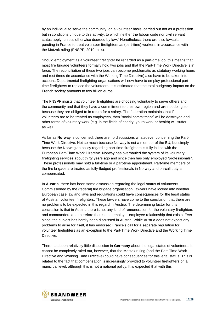by an individual to serve the community, on a volunteer basis, carried out not as a profession but in conditions unique to this activity, to which neither the labour code nor civil servant status apply, unless otherwise decreed by law." Nonetheless, there are also lawsuits pending in France to treat volunteer firefighters as (part-time) workers, in accordance with the Matzak ruling (FNSPF, 2019, p. 4).

Should employment as a volunteer firefighter be regarded as a part-time job, this means that most fire brigade volunteers formally hold two jobs and that the Part-Time Work Directive is in force. The reconciliation of these two jobs can become problematic as statutory working hours and rest times (in accordance with the Working Time Directive) also have to be taken into account. Departmental firefighting organisations will now have to employ professional parttime firefighters to replace the volunteers. It is estimated that the total budgetary impact on the French society amounts to two billion euros.

The FNSPF insists that volunteer firefighters are choosing voluntarily to serve others and the community and that they have a commitment to their own region and are not doing so because they are obliged to in return for a salary. The federation maintains that if volunteers are to be treated as employees, then "social commitment" will be destroyed and other forms of voluntary work (e.g. in the fields of charity, youth work or health) will suffer as well.

As far as **Norway** is concerned, there are no discussions whatsoever concerning the Part-Time Work Directive. Not so much because Norway is not a member of the EU, but simply because the Norwegian policy regarding part-time firefighters is fully in line with the European Part-Time Work Directive. Norway has overhauled the system of its voluntary firefighting services about thirty years ago and since then has only employed "professionals". These professionals may hold a full-time or a part-time appointment. Part-time members of the fire brigade are treated as fully-fledged professionals in Norway and on-call duty is compensated.

In **Austria**, there has been some discussion regarding the legal status of volunteers. Commissioned by the (federal) fire brigade organisation, lawyers have looked into whether European case law and laws and regulations could have consequences for the legal status of Austrian volunteer firefighters. These lawyers have come to the conclusion that there are no problems to be expected in this regard in Austria. The determining factor for this conclusion is that in Austria there is not any kind of remuneration for the voluntary firefighters and commanders and therefore there is no employer-employee relationship that exists. Ever since, the subject has hardly been discussed in Austria. While Austria does not expect any problems to arise for itself, it has endorsed France's call for a separate regulation for volunteer firefighters as an exception to the Part-Time Work Directive and the Working Time Directive.

There has been relatively little discussion in **Germany** about the legal status of volunteers. It cannot be completely ruled out, however, that the Matzak ruling (and the Part-Time Work Directive and Working Time Directive) could have consequences for this legal status. This is related to the fact that compensation is increasingly provided to volunteer firefighters on a municipal level, although this is not a national policy. It is expected that with this

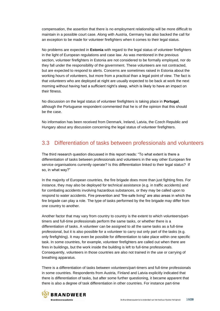compensation, the assertion that there is no employment relationship will be more difficult to maintain in a possible court case. Along with Austria, Germany has also backed the call for an exception to be made for volunteer firefighters when it comes to their legal status.

No problems are expected in **Estonia** with regard to the legal status of volunteer firefighters in the light of European regulations and case law. As was mentioned in the previous section, volunteer firefighters in Estonia are not considered to be formally employed, nor do they fall under the responsibility of the government. These volunteers are not contracted, but are expected to respond to alerts. Concerns are sometimes raised in Estonia about the working hours of volunteers, but more from a practical than a legal point of view. The fact is that volunteers who are deployed at night are usually expected to be back at work the next morning without having had a sufficient night's sleep, which is likely to have an impact on their fitness.

No discussion on the legal status of volunteer firefighters is taking place in **Portugal**, although the Portuguese respondent commented that he is of the opinion that this should be the case.

No information has been received from Denmark, Ireland, Latvia, the Czech Republic and Hungary about any discussion concerning the legal status of volunteer firefighters.

### <span id="page-17-0"></span>3.3 Differentiation of tasks between professionals and volunteers

The third research question discussed in this report reads: "To what extent is there a differentiation of tasks between professionals and volunteers in the way other European fire service organisations currently operate? Is this differentiation linked to their legal status? If so, in what way?"

In the majority of European countries, the fire brigade does more than just fighting fires. For instance, they may also be deployed for technical assistance (e.g. in traffic accidents) and for combating accidents involving hazardous substances, or they may be called upon to respond to water accidents. Fire prevention and "fire-safe living" are also areas in which the fire brigade can play a role. The type of tasks performed by the fire brigade may differ from one country to another.

Another factor that may vary from country to country is the extent to which volunteers/parttimers and full-time professionals perform the same tasks, or whether there is a differentiation of tasks. A volunteer can be assigned to all the same tasks as a full-time professional, but it is also possible for a volunteer to carry out only part of the tasks (e.g. only firefighting). It may even be possible for differentiation to take place within one specific task. In some countries, for example, volunteer firefighters are called out when there are fires in buildings, but the work inside the building is left to full-time professionals. Consequently, volunteers in those countries are also not trained in the use or carrying of breathing apparatus.

There is a differentiation of tasks between volunteers/part-timers and full-time professionals in some countries. Respondents from Austria, Finland and Latvia explicitly indicated that there is differentiation of tasks, but after some further questioning, it became apparent that there is also a degree of task differentiation in other countries. For instance part-time

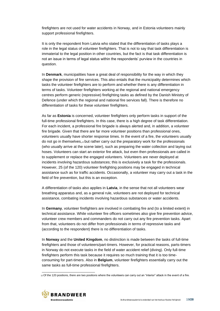firefighters are not used for water accidents in Norway, and in Estonia volunteers mainly support professional firefighters.

It is only the respondent from Latvia who stated that the differentiation of tasks plays a role in the legal status of volunteer firefighters. That is not to say that task differentiation is immaterial to the legal position in other countries, but the fact is that task differentiation is not an issue in terms of legal status within the respondents' purview in the countries in question.

In **Denmark**, municipalities have a great deal of responsibility for the way in which they shape the provision of fire services. This also entails that the municipality determines which tasks the volunteer firefighters are to perform and whether there is any differentiation in terms of tasks. Volunteer firefighters working at the regional and national emergency centres perform generic (repressive) firefighting tasks as defined by the Danish Ministry of Defence (under which the regional and national fire services fall). There is therefore no differentiation of tasks for these volunteer firefighters.

As far as **Estonia** is concerned, volunteer firefighters only perform tasks in support of the full-time professional firefighters. In this case, there is a high degree of task differentiation. For each incident, a professional fire brigade is always alerted and, in addition, a volunteer fire brigade. Given that there are far more volunteer positions than professional ones, volunteers usually have shorter response times. In the event of a fire, the volunteers usually do not go in themselves, $12$  but rather carry out the preparatory work for the professionals (who usually arrive at the scene later), such as preparing the water collection and laying out hoses. Volunteers can start an exterior fire attack, but even then professionals are called in to supplement or replace the engaged volunteers. Volunteers are never deployed at incidents involving hazardous substances; this is exclusively a task for the professionals. However, 25 (of the 120) volunteer firefighting positions may be engaged in technical assistance such as for traffic accidents. Occasionally, a volunteer may carry out a task in the field of fire prevention, but this is an exception.

A differentiation of tasks also applies in **Latvia**, in the sense that not all volunteers wear breathing apparatus and, as a general rule, volunteers are not deployed for technical assistance, combating incidents involving hazardous substances or water accidents.

In **Germany**, volunteer firefighters are involved in combating fire and (to a limited extent) in technical assistance. While volunteer fire officers sometimes also give fire prevention advice, volunteer crew members and commanders do not carry out any fire prevention tasks. Apart from that, volunteers do not differ from professionals in terms of repressive tasks and (according to the respondent) there is no differentiation of tasks.

In **Norway** and the **United Kingdom**, no distinction is made between the tasks of full-time firefighters and those of volunteers/part-timers. However, for practical reasons, parts-timers in Norway do not execute tasks in the field of water accident relief (diving). Only full-time firefighters perform this task because it requires so much training that it is too timeconsuming for part-timers. Also in **Belgium**, volunteer firefighters essentially carry out the same tasks as full-time professional firefighters.

<sup>12</sup> Of the 120 positions, there are two positions where the volunteers can carry out an "interior" attack in the event of a fire.

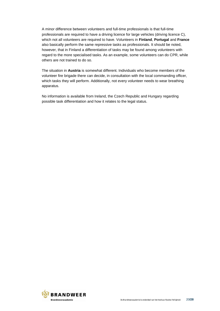A minor difference between volunteers and full-time professionals is that full-time professionals are required to have a driving licence for large vehicles (driving licence C), which not all volunteers are required to have. Volunteers in **Finland**, **Portugal** and **France** also basically perform the same repressive tasks as professionals. It should be noted, however, that in Finland a differentiation of tasks may be found among volunteers with regard to the more specialised tasks. As an example, some volunteers can do CPR, while others are not trained to do so.

The situation in **Austria** is somewhat different. Individuals who become members of the volunteer fire brigade there can decide, in consultation with the local commanding officer, which tasks they will perform. Additionally, not every volunteer needs to wear breathing apparatus.

No information is available from Ireland, the Czech Republic and Hungary regarding possible task differentiation and how it relates to the legal status.

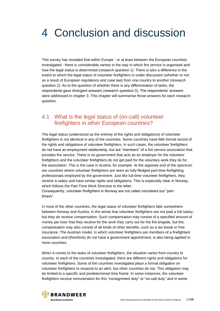## <span id="page-20-0"></span>4 Conclusion and discussion

This survey has revealed that within Europe - or at least between the European countries investigated - there is considerable variety in the way in which fire service is organised and how the legal status is determined (research question 1). There is also a difference in the extent to which the legal status of volunteer firefighters is under discussion (whether or not as a result of European regulations and case law) from one country to another (research question 2). As to the question of whether there is any differentiation of tasks, the respondents gave divergent answers (research question 3). The respondents' answers were addressed in chapter 3. This chapter will summarise those answers for each research question.

### <span id="page-20-1"></span>4.1 What is the legal status of (on-call) volunteer firefighters in other European countries?

The legal status (understood as the entirety of the rights and obligations) of volunteer firefighters is not identical in any of the countries. Some countries have little formal record of the rights and obligations of volunteer firefighters. In such cases, the volunteer firefighters do not have an employment relationship, but are "members" of a fire service association that provides fire service. There is no government that acts as an employer for the volunteer firefighters and the volunteer firefighters do not get paid for the voluntary work they do for the association. This is the case in Austria, for example. At the opposite end of the spectrum are countries where volunteer firefighters are seen as fully-fledged part-time firefighting professionals employed by the government. Just like full-time volunteer firefighters, they receive a salary and have similar rights and obligations. This is especially clear in Norway, which follows the Part-Time Work Directive to the letter.

Consequently, volunteer firefighters in Norway are not called volunteers but "parttimers".

In most of the other countries, the legal status of volunteer firefighters falls somewhere between Norway and Austria, in the sense that volunteer firefighters are not paid a full salary, but they do receive compensation. Such compensation may consist of a specified amount of money per hour that they receive for the work they carry out for the fire brigade, but the compensation may also consist of all kinds of other benefits, such as a tax break or free insurance. The Austrian model, in which volunteer firefighters are members of a firefighters' association and (therefore) do not have a government appointment, is also being applied in more countries.

When it comes to the tasks of volunteer firefighters, the situation varies from country to country. In each of the countries investigated, there are different rights and obligations for volunteer firefighters. Some of the countries investigated place a formal obligation on volunteer firefighters to respond to an alert, but other countries do not. This obligation may be limited to a specific and predetermined time frame. In some instances, the volunteer firefighters receive remuneration for this "consignment duty" or "on-call duty" and in some

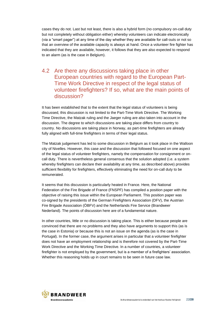cases they do not. Last but not least, there is also a hybrid form (no compulsory on-call duty but not completely without obligation either) whereby volunteers can indicate electronically (via a "smart pager") at any time of the day whether they are available for call-outs or not so that an overview of the available capacity is always at hand. Once a volunteer fire fighter has indicated that they are available, however, it follows that they are also expected to respond to an alarm (as is the case in Belgium).

### <span id="page-21-0"></span>4.2 Are there any discussions taking place in other European countries with regard to the European Part-Time Work Directive in respect of the legal status of volunteer firefighters? If so, what are the main points of discussion?

It has been established that to the extent that the legal status of volunteers is being discussed, this discussion is not limited to the Part-Time Work Directive. The Working Time Directive, the Matzak ruling and the Jaeger ruling are also taken into account in the discussion. The degree to which discussions are taking place differs from country to country. No discussions are taking place in Norway, as part-time firefighters are already fully aligned with full-time firefighters in terms of their legal status.

The Matzak judgement has led to some discussion in Belgium as it took place in the Walloon city of Nivelles. However, this case and the discussion that followed focused on one aspect of the legal status of volunteer firefighters, namely the compensation for consignment or oncall duty. There is nevertheless general consensus that the solution adopted (i.e. a system whereby firefighters can declare their availability at any time, as described above) provides sufficient flexibility for firefighters, effectively eliminating the need for on-call duty to be remunerated.

It seems that this discussion is particularly heated in France. Here, the National Federation of the Fire Brigade of France (FNSPF) has compiled a position paper with the objective of raising this issue within the European Parliament. This position paper was co-signed by the presidents of the German Firefighters Association (DFV), the Austrian Fire Brigade Association (ÖBFV) and the Netherlands Fire Service (Brandweer Nederland). The points of discussion here are of a fundamental nature.

In other countries, little or no discussion is taking place. This is either because people are convinced that there are no problems and they also have arguments to support this (as is the case in Estonia) or because this is not an issue on the agenda (as is the case in Portugal). In the former case, the argument arises in particular that a volunteer firefighter does not have an employment relationship and is therefore not covered by the Part-Time Work Directive and the Working Time Directive. In a number of countries, a volunteer firefighter is not employed by the government, but is a member of a firefighters' association. Whether this reasoning holds up in court remains to be seen in future case law.

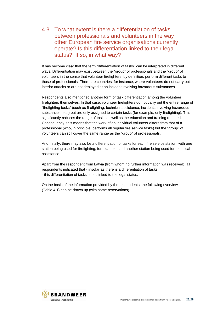### <span id="page-22-0"></span>4.3 To what extent is there a differentiation of tasks between professionals and volunteers in the way other European fire service organisations currently operate? Is this differentiation linked to their legal status? If so, in what way?

It has become clear that the term "differentiation of tasks" can be interpreted in different ways. Differentiation may exist between the "group" of professionals and the "group" of volunteers in the sense that volunteer firefighters, by definition, perform different tasks to those of professionals. There are countries, for instance, where volunteers do not carry out interior attacks or are not deployed at an incident involving hazardous substances.

Respondents also mentioned another form of task differentiation among the volunteer firefighters themselves. In that case, volunteer firefighters do not carry out the entire range of "firefighting tasks" (such as firefighting, technical assistance, incidents involving hazardous substances, etc.) but are only assigned to certain tasks (for example, only firefighting). This significantly reduces the range of tasks as well as the education and training required. Consequently, this means that the work of an individual volunteer differs from that of a professional (who, in principle, performs all regular fire service tasks) but the "group" of volunteers can still cover the same range as the "group" of professionals.

And, finally, there may also be a differentiation of tasks for each fire service station, with one station being used for firefighting, for example, and another station being used for technical assistance.

Apart from the respondent from Latvia (from whom no further information was received), all respondents indicated that - insofar as there is a differentiation of tasks - this differentiation of tasks is not linked to the legal status.

On the basis of the information provided by the respondents, the following overview (Table 4.1) can be drawn up (with some reservations).

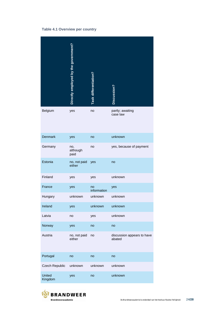#### **Table 4.1 Overview per country**

|                          | Directly employed by the government? | Task differentiation? | Discussion?                          |
|--------------------------|--------------------------------------|-----------------------|--------------------------------------|
| Belgium                  | yes                                  | no                    | partly; awaiting<br>case law         |
| <b>Denmark</b>           | yes                                  | no                    | unknown                              |
| Germany                  | no,<br>although<br>paid              | no                    | yes, because of payment              |
| Estonia                  | no, not paid<br>either               | yes                   | no                                   |
| Finland                  | yes                                  | yes                   | unknown                              |
| France                   | yes                                  | no<br>information     | yes                                  |
| Hungary                  | unknown                              | unknown               | unknown                              |
| Ireland                  | yes                                  | unknown               | unknown                              |
| Latvia                   | no                                   | yes                   | unknown                              |
| Norway                   | yes                                  | no                    | no                                   |
| Austria                  | no, not paid<br>either               | no                    | discussion appears to have<br>abated |
| Portugal                 | no                                   | no                    | no                                   |
| Czech Republic           | unknown                              | unknown               | unknown                              |
| <b>United</b><br>Kingdom | yes                                  | no                    | unknown                              |

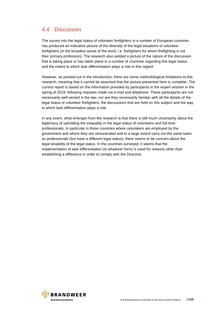## <span id="page-24-0"></span>4.4 Discussion

The survey into the legal status of volunteer firefighters in a number of European countries has produced an indicative picture of the diversity of the legal situations of volunteer firefighters (in the broadest sense of the word, i.e. firefighters for whom firefighting is not their primary profession). The research also yielded a picture of the nature of the discussion that is taking place or has taken place in a number of countries regarding this legal status and the extent to which task differentiation plays a role in this regard.

However, as pointed out in the introduction, there are some methodological limitations to this research, meaning that it cannot be assumed that the picture presented here is complete. The current report is based on the information provided by participants in the expert session in the spring of 2019, following requests made via e-mail and telephone. These participants are not necessarily well versed in the law, nor are they necessarily familiar with all the details of the legal status of volunteer firefighters, the discussions that are held on this subject and the way in which task differentiation plays a role.

In any event, what emerges from the research is that there is still much uncertainty about the legitimacy of upholding the inequality in the legal status of volunteers and full-time professionals. In particular in those countries where volunteers are employed by the government and where they are remunerated and to a large extent carry out the same tasks as professionals (but have a different legal status), there seems to be concern about the legal tenability of the legal status. In the countries surveyed, it seems that the implementation of task differentiation (in whatever form) is used for reasons other than establishing a difference in order to comply with the Directive.

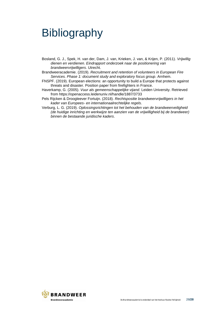## <span id="page-25-0"></span>**Bibliography**

- Bosland, G. J., Spek, H. van der, Dam, J. van, Krieken, J. van, & Krijen, P. (2011). *Vrijwillig dienen en verdienen. Eindrapport onderzoek naar de positionering van brandweervrijwilligers*. Utrecht.
- Brandweeracademie. (2019). *Recruitment and retention of volunteers in European Fire Services. Phase 1: document study and exploratory focus group*. Arnhem.
- FNSPF. (2019). European elections: an opportunity to build a Europe that protects against threats and disaster. Position paper from firefighters in France.
- Haverkamp, G. (2005). *Vuur als gemeenschappelijke vijand*. Leiden University. Retrieved from https://openaccess.leidenuniv.nl/handle/1887/3733
- Pels Rijcken & Droogleever Fortuijn. (2018). *Rechtspositie brandweervrijwilligers in het kader van Europees- en internationaalrechtelijke regels*.
- Verburg, L. G. (2019). *Oplossingsrichtingen tot het behouden van de brandweerveiligheid (de huidige inrichting en werkwijze ten aanzien van de vrijwilligheid bij de brandweer) binnen de bestaande juridische kaders*.

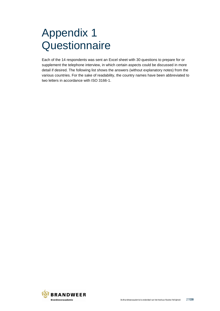## <span id="page-26-0"></span>Appendix 1 **Questionnaire**

Each of the 14 respondents was sent an Excel sheet with 30 questions to prepare for or supplement the telephone interview, in which certain aspects could be discussed in more detail if desired. The following list shows the answers (without explanatory notes) from the various countries. For the sake of readability, the country names have been abbreviated to two letters in accordance with ISO 3166-1.

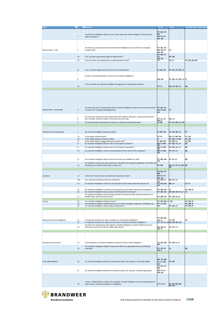| Topic                          | $\blacksquare$ # | Question                                                                                            | Yes (x)                         | No(x)                         | Not applicable / Undecided |
|--------------------------------|------------------|-----------------------------------------------------------------------------------------------------|---------------------------------|-------------------------------|----------------------------|
|                                |                  |                                                                                                     |                                 |                               |                            |
|                                |                  |                                                                                                     | PT; EE; AT;                     |                               |                            |
|                                |                  | Are there any firefighters active in your country other than career firefighters? (from here on     | BE:                             |                               |                            |
|                                | $\mathbf{1}$     | called 'volunteers')                                                                                | <b>DE: FI: LV:</b>              |                               |                            |
|                                |                  |                                                                                                     | NO; UK                          |                               |                            |
|                                |                  |                                                                                                     |                                 |                               |                            |
|                                |                  |                                                                                                     |                                 |                               |                            |
|                                |                  |                                                                                                     |                                 |                               |                            |
|                                | $\overline{2}$   | Are there any job requirements that all volunteer firefighters have to meet? (For example:          | PT; EE; AT;                     | LV                            |                            |
| Requirements - entry           |                  | medical tests)                                                                                      | BE; DE; FI;<br>NO; UK           |                               |                            |
|                                |                  |                                                                                                     | PT; EE; FI;                     |                               |                            |
|                                | 2a               | If so, do these requirements apply at national level?                                               | LV;                             | AT; DE                        |                            |
|                                |                  |                                                                                                     | NO; UK                          |                               |                            |
|                                | 2 <sub>b</sub>   | If not, are there any requirements at regional/province level?                                      | AT                              | FI; LV                        | PT; EE; DE; NO             |
|                                |                  |                                                                                                     |                                 |                               |                            |
|                                |                  |                                                                                                     |                                 |                               |                            |
|                                |                  |                                                                                                     |                                 |                               |                            |
|                                | 2c               | If so, are these requirements the same as for professionals?                                        | FI; NO; UK                      | PT; EE; AT; DE; LV            |                            |
|                                |                  |                                                                                                     |                                 |                               |                            |
|                                |                  |                                                                                                     |                                 |                               |                            |
|                                |                  | Is there a formal employment contract for all volunteer firefighters?                               |                                 |                               |                            |
|                                | 3                |                                                                                                     | NO; UK                          | PT; EE; AT; DE; LV FI         |                            |
|                                |                  |                                                                                                     |                                 |                               |                            |
|                                |                  | If not, are there any volunteer firefighters who do have an employment contract?                    |                                 |                               |                            |
|                                | 3a               |                                                                                                     | PT; FI                          | EE; AT; DE; LV                | <b>NO</b>                  |
|                                |                  |                                                                                                     |                                 |                               |                            |
|                                |                  |                                                                                                     |                                 |                               |                            |
|                                |                  |                                                                                                     |                                 |                               |                            |
|                                |                  |                                                                                                     |                                 |                               |                            |
|                                |                  |                                                                                                     |                                 |                               |                            |
|                                |                  |                                                                                                     |                                 |                               |                            |
|                                |                  |                                                                                                     |                                 |                               |                            |
|                                |                  |                                                                                                     |                                 |                               |                            |
|                                |                  | Are there any tests or requirements that all volunteer firefighters need to meet every few months   | PT; EE; AT;                     |                               |                            |
| Requirements - periodically    | $\sqrt{4}$       | or years? (For example medical/physical)                                                            | DE; FI; NO;                     | LV                            |                            |
|                                |                  |                                                                                                     | UK                              |                               |                            |
|                                |                  |                                                                                                     |                                 |                               |                            |
|                                |                  | Are there any of these periodic requirements with regard to education, training and exercises?      |                                 |                               |                            |
|                                | 5                | (For example: minimum number of exercise hours per year)                                            | PT; AT; FI;<br>NO; U            | DE; LV                        |                            |
|                                | 6                | Are these periodic requirements the same for volunteers and professionals?                          | FI; NO                          | PT; AT; DE; LV; UK            |                            |
|                                |                  |                                                                                                     |                                 |                               |                            |
|                                |                  |                                                                                                     |                                 |                               |                            |
|                                |                  |                                                                                                     |                                 |                               |                            |
|                                | $\overline{7}$   |                                                                                                     | FI; NO; UK                      |                               | PT                         |
| Payment and reimbursement      |                  | Do volunteer firefighters get paid a salary?                                                        |                                 | AT; EE; DE; LV                |                            |
|                                | 7a               |                                                                                                     | PT; FI                          | EE; LV; NO; UK                | AT; DE                     |
|                                | 7b               | Is this salary a fixed amount?<br>Is this salary based on amount of calls?                          | FI                              | PT; EE; LV; NO                | AT; DE                     |
|                                | 7c               | Is this salary based on hours deployed at actual calls?                                             | FI; NO; UK                      | PT; EE; LV                    | AT; DE                     |
|                                | $\overline{8}$   | Do volunteer firefighters receive a fee for time spent on practice?                                 | <b>BE; FI; NO;</b>              | PT; EE; AT; LV                | DE                         |
|                                |                  |                                                                                                     | <b>UK</b>                       |                               |                            |
|                                | $\overline{9}$   | Do volunteer firefighters receive a fee for time spent on education?                                | BE; FI; NO;                     | PT; EE; AT; LV                | DE                         |
|                                |                  |                                                                                                     | <b>UK</b>                       |                               |                            |
|                                | 10               | Do volunteer firefighters receive full compensation for the costs of their education?               | <b>BE; FI; NO;</b><br><b>UK</b> | PT; AT; LV                    | DE                         |
|                                |                  |                                                                                                     |                                 |                               |                            |
|                                |                  |                                                                                                     |                                 |                               |                            |
|                                | 11               | Are volunteer firefighters paid for the time that they are available (on call)?                     | PT; BE; NO;                     | AT; FI; LV                    | DE                         |
|                                |                  |                                                                                                     | UK                              |                               |                            |
|                                |                  | Do volunteers receive any other payments or benefits? (For example: gratification, free child care, |                                 |                               |                            |
|                                | 12               | housing, tax or insurance discounts or study, etc.)                                                 | PT; BE                          | EE; AT; FI; LV; NO; DE<br>UK  |                            |
|                                |                  |                                                                                                     |                                 |                               |                            |
|                                |                  |                                                                                                     | PT; EE; AT;                     |                               |                            |
|                                |                  |                                                                                                     | BE;                             |                               |                            |
| Insurance                      | 13               | Does the fire service insure volunteers for accidents at work?                                      | DE; FI; LV;                     |                               |                            |
|                                |                  |                                                                                                     | NO; UK                          |                               |                            |
|                                | 13a              | If so, does this insurance cover loss of income?                                                    | PT; DE; FI;                     | EE; AT; LV                    |                            |
|                                |                  |                                                                                                     | UK                              |                               |                            |
|                                | 14               | Do volunteer firefighters continue to be paid (part of) their salary when they become ill?          | PT; DE; NO;<br>UK               | BE; LV                        | AT; FI                     |
|                                |                  |                                                                                                     |                                 |                               |                            |
|                                | 15               | Do volunteers firefighters continue to be paid (part of) their salary when they are pregnant?       | PT; NO; UK                      | LV                            | AT; DE; FI                 |
|                                | 10               | Do volunteer firefighters have a pension scheme with the fire service?                              | T; NO; UK                       | EE; BE; DE; FI; LV            |                            |
|                                |                  | Do volunteer firefighters receive reimbursements for travel and other expenses they incur on        |                                 |                               |                            |
|                                | 17               | behalf of their work at the fire service?                                                           | AT; BE; UK                      | PT; DE; FI; LV                |                            |
|                                |                  |                                                                                                     |                                 |                               |                            |
| Leaves                         | 18               | Are volunteer firefighters entitled to leave?                                                       | PT; EE; BE; LV; UK              |                               | AT; DE; FI                 |
|                                | 19               | Are volunteers entitled to special leave? (e.g. in case of marriage, pregnancy, caretaking, etc.)   | PT; LV; UK                      |                               | AT; DE; FI                 |
|                                | 20               | Do volunteer firefighters receive salary during leaves?                                             | <b>IUK</b>                      | PT; EE; LV                    | AT; DE; FI                 |
|                                |                  |                                                                                                     |                                 |                               |                            |
|                                |                  |                                                                                                     |                                 |                               |                            |
|                                |                  |                                                                                                     |                                 |                               |                            |
|                                |                  |                                                                                                     |                                 |                               |                            |
|                                |                  |                                                                                                     | PT; EE; BE;                     |                               |                            |
| Response times and obligations | 21               | Is response/ turning out to calls compulsory for all volunteer firefighters?                        | DE; FI                          | LV; NO                        | AT;                        |
|                                | 22               | Is response/ turning out to calls up to the choice of individual volunteer firefighters?            |                                 | PT; AT; FI; LV EE; DE; NO; UK |                            |
|                                |                  | Are there any requirements with regard to volunteer firefighters' turnouts? (Minimum time in        |                                 |                               |                            |
|                                | 23               | which they need to be at the fire station after alarm?)                                             | EE; DE; FI;<br>NO; U            | AT; PT; LV                    |                            |
|                                |                  |                                                                                                     |                                 |                               |                            |
|                                |                  |                                                                                                     |                                 |                               |                            |
|                                |                  |                                                                                                     |                                 |                               |                            |
|                                |                  |                                                                                                     |                                 |                               |                            |
|                                |                  |                                                                                                     |                                 |                               |                            |
| Education and exercises        | 24               | Is the education of volunteer firefighters identical to that of career firefighters?                | AT; BE; DE;                     | PT; EE; FI; LV                |                            |
|                                |                  |                                                                                                     | NO;                             |                               |                            |
|                                |                  | Are volunteer firefighters obliged to keep their skills at an appropriate level by conducting       |                                 |                               |                            |
|                                | 25               | exercises?                                                                                          | PT; AT; FI;<br>NO; U            | LV                            | DE                         |
|                                |                  |                                                                                                     |                                 |                               |                            |
|                                |                  |                                                                                                     |                                 |                               |                            |
|                                |                  |                                                                                                     |                                 |                               |                            |
|                                |                  |                                                                                                     |                                 |                               |                            |
|                                |                  |                                                                                                     | EE; AT; BE;                     |                               |                            |
| Task (differentiation)         | 26               | Do volunteer firefighters perform fire prevention tasks? (For example: community safety)            | FI; LV; NO;                     | PT; DE                        |                            |
|                                |                  |                                                                                                     | <b>UK</b>                       |                               |                            |
|                                |                  |                                                                                                     | PT; EE; AT;<br>BE:              |                               |                            |
|                                |                  |                                                                                                     | DE; FI; LV;                     |                               |                            |
|                                | 27               | Do volunteer firefighters perform fire repressive tasks? (For example: breathing apparatus)         | NO; UK                          |                               |                            |
|                                |                  |                                                                                                     |                                 |                               |                            |
|                                |                  |                                                                                                     |                                 |                               |                            |
|                                |                  |                                                                                                     |                                 |                               |                            |
|                                |                  | Is there a differentiation of tasks? (For example, volunteer firefighters who are only deployed for |                                 |                               |                            |
|                                | 28               | water rescue, technical assistance or firefighting.)                                                | AT; FI; LV                      | PT; EE; BE; DE;<br>NO; UK     |                            |
|                                |                  |                                                                                                     |                                 |                               |                            |

BRANDWEER **Brandweeracademie**